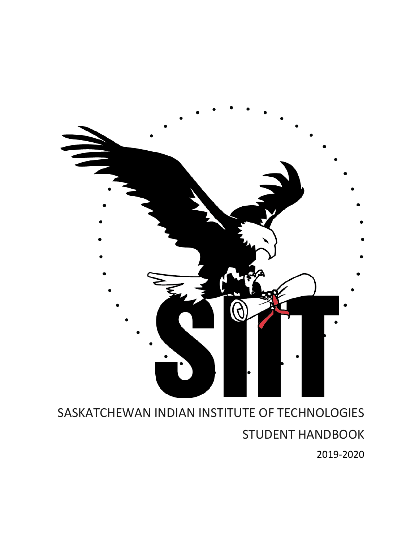

# SASKATCHEWAN INDIAN INSTITUTE OF TECHNOLOGIES STUDENT HANDBOOK 2019-2020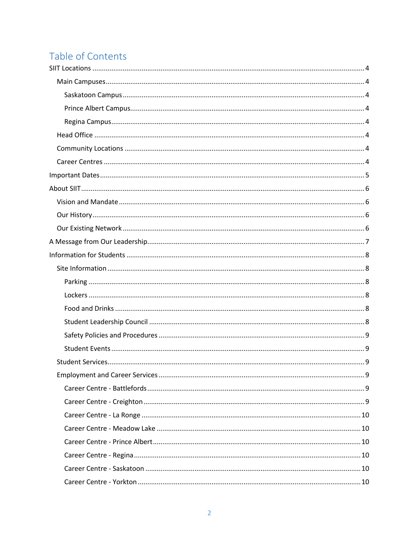## Table of Contents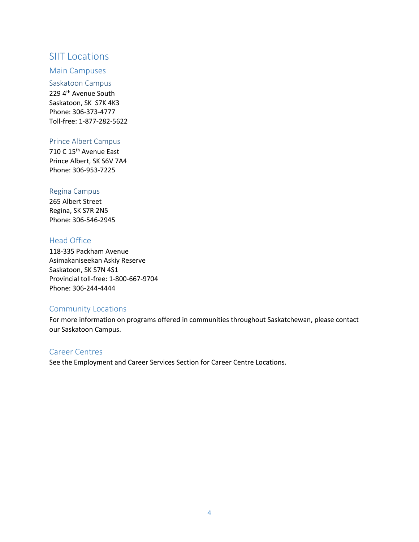#### <span id="page-3-0"></span>SIIT Locations

#### <span id="page-3-1"></span>Main Campuses

<span id="page-3-2"></span>Saskatoon Campus 229 4<sup>th</sup> Avenue South Saskatoon, SK S7K 4K3 Phone: 306-373-4777 Toll-free: 1-877-282-5622

#### <span id="page-3-3"></span>Prince Albert Campus

710 C 15<sup>th</sup> Avenue East Prince Albert, SK S6V 7A4 Phone: 306-953-7225

#### <span id="page-3-4"></span>Regina Campus

265 Albert Street Regina, SK S7R 2N5 Phone: 306-546-2945

#### <span id="page-3-5"></span>Head Office

118-335 Packham Avenue Asimakaniseekan Askiy Reserve Saskatoon, SK S7N 4S1 Provincial toll-free: 1-800-667-9704 Phone: 306-244-4444

#### <span id="page-3-6"></span>Community Locations

For more information on programs offered in communities throughout Saskatchewan, please contact our Saskatoon Campus.

#### <span id="page-3-7"></span>Career Centres

See the Employment and Career Services Section for Career Centre Locations.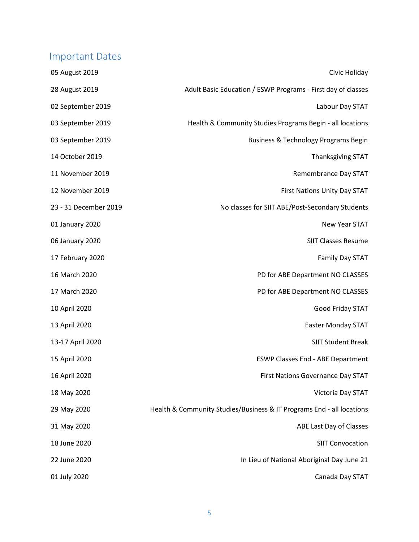## <span id="page-4-0"></span>Important Dates

| 05 August 2019        | Civic Holiday                                                         |
|-----------------------|-----------------------------------------------------------------------|
| 28 August 2019        | Adult Basic Education / ESWP Programs - First day of classes          |
| 02 September 2019     | Labour Day STAT                                                       |
| 03 September 2019     | Health & Community Studies Programs Begin - all locations             |
| 03 September 2019     | Business & Technology Programs Begin                                  |
| 14 October 2019       | <b>Thanksgiving STAT</b>                                              |
| 11 November 2019      | Remembrance Day STAT                                                  |
| 12 November 2019      | First Nations Unity Day STAT                                          |
| 23 - 31 December 2019 | No classes for SIIT ABE/Post-Secondary Students                       |
| 01 January 2020       | New Year STAT                                                         |
| 06 January 2020       | <b>SIIT Classes Resume</b>                                            |
| 17 February 2020      | Family Day STAT                                                       |
| 16 March 2020         | PD for ABE Department NO CLASSES                                      |
| 17 March 2020         | PD for ABE Department NO CLASSES                                      |
| 10 April 2020         | Good Friday STAT                                                      |
| 13 April 2020         | <b>Easter Monday STAT</b>                                             |
| 13-17 April 2020      | <b>SIIT Student Break</b>                                             |
| 15 April 2020         | <b>ESWP Classes End - ABE Department</b>                              |
| 16 April 2020         | First Nations Governance Day STAT                                     |
| 18 May 2020           | Victoria Day STAT                                                     |
| 29 May 2020           | Health & Community Studies/Business & IT Programs End - all locations |
| 31 May 2020           | ABE Last Day of Classes                                               |
| 18 June 2020          | <b>SIIT Convocation</b>                                               |
| 22 June 2020          | In Lieu of National Aboriginal Day June 21                            |
| 01 July 2020          | Canada Day STAT                                                       |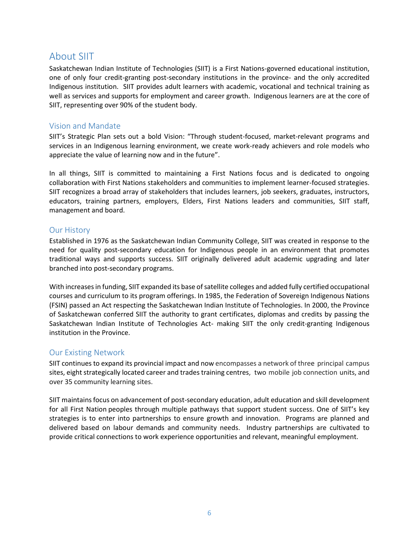### <span id="page-5-0"></span>About SIIT

Saskatchewan Indian Institute of Technologies (SIIT) is a First Nations-governed educational institution, one of only four credit-granting post-secondary institutions in the province- and the only accredited Indigenous institution. SIIT provides adult learners with academic, vocational and technical training as well as services and supports for employment and career growth. Indigenous learners are at the core of SIIT, representing over 90% of the student body.

#### <span id="page-5-1"></span>Vision and Mandate

SIIT's Strategic Plan sets out a bold Vision: "Through student-focused, market-relevant programs and services in an Indigenous learning environment, we create work-ready achievers and role models who appreciate the value of learning now and in the future".

In all things, SIIT is committed to maintaining a First Nations focus and is dedicated to ongoing collaboration with First Nations stakeholders and communities to implement learner-focused strategies. SIIT recognizes a broad array of stakeholders that includes learners, job seekers, graduates, instructors, educators, training partners, employers, Elders, First Nations leaders and communities, SIIT staff, management and board.

#### <span id="page-5-2"></span>Our History

Established in 1976 as the Saskatchewan Indian Community College, SIIT was created in response to the need for quality post-secondary education for Indigenous people in an environment that promotes traditional ways and supports success. SIIT originally delivered adult academic upgrading and later branched into post-secondary programs.

With increases in funding, SIIT expanded its base of satellite colleges and added fully certified occupational courses and curriculum to its program offerings. In 1985, the Federation of Sovereign Indigenous Nations (FSIN) passed an Act respecting the Saskatchewan Indian Institute of Technologies. In 2000, the Province of Saskatchewan conferred SIIT the authority to grant certificates, diplomas and credits by passing the Saskatchewan Indian Institute of Technologies Act- making SIIT the only credit-granting Indigenous institution in the Province.

#### <span id="page-5-3"></span>Our Existing Network

SIIT continues to expand its provincial impact and now encompasses a network of three principal campus sites, eight strategically located career and trades training centres, two mobile job connection units, and over 35 community learning sites.

SIIT maintains focus on advancement of post-secondary education, adult education and skill development for all First Nation peoples through multiple pathways that support student success. One of SIIT's key strategies is to enter into partnerships to ensure growth and innovation. Programs are planned and delivered based on labour demands and community needs. Industry partnerships are cultivated to provide critical connections to work experience opportunities and relevant, meaningful employment.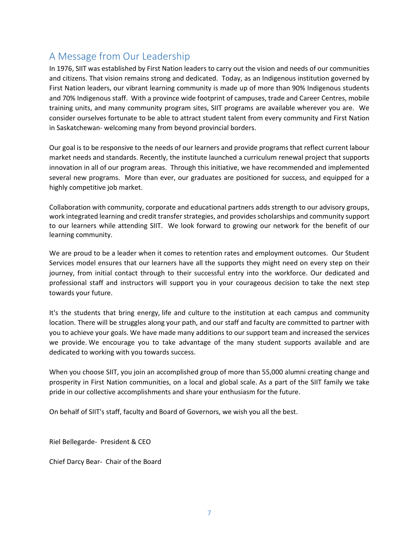## <span id="page-6-0"></span>A Message from Our Leadership

In 1976, SIIT was established by First Nation leaders to carry out the vision and needs of our communities and citizens. That vision remains strong and dedicated. Today, as an Indigenous institution governed by First Nation leaders, our vibrant learning community is made up of more than 90% Indigenous students and 70% Indigenous staff. With a province wide footprint of campuses, trade and Career Centres, mobile training units, and many community program sites, SIIT programs are available wherever you are. We consider ourselves fortunate to be able to attract student talent from every community and First Nation in Saskatchewan- welcoming many from beyond provincial borders.

Our goal is to be responsive to the needs of our learners and provide programs that reflect current labour market needs and standards. Recently, the institute launched a curriculum renewal project that supports innovation in all of our program areas. Through this initiative, we have recommended and implemented several new programs. More than ever, our graduates are positioned for success, and equipped for a highly competitive job market.

Collaboration with community, corporate and educational partners adds strength to our advisory groups, work integrated learning and credit transfer strategies, and provides scholarships and community support to our learners while attending SIIT. We look forward to growing our network for the benefit of our learning community.

We are proud to be a leader when it comes to retention rates and employment outcomes. Our Student Services model ensures that our learners have all the supports they might need on every step on their journey, from initial contact through to their successful entry into the workforce. Our dedicated and professional staff and instructors will support you in your courageous decision to take the next step towards your future.

It's the students that bring energy, life and culture to the institution at each campus and community location. There will be struggles along your path, and our staff and faculty are committed to partner with you to achieve your goals. We have made many additions to our support team and increased the services we provide. We encourage you to take advantage of the many student supports available and are dedicated to working with you towards success.

When you choose SIIT, you join an accomplished group of more than 55,000 alumni creating change and prosperity in First Nation communities, on a local and global scale. As a part of the SIIT family we take pride in our collective accomplishments and share your enthusiasm for the future.

On behalf of SIIT's staff, faculty and Board of Governors, we wish you all the best.

Riel Bellegarde- President & CEO

Chief Darcy Bear- Chair of the Board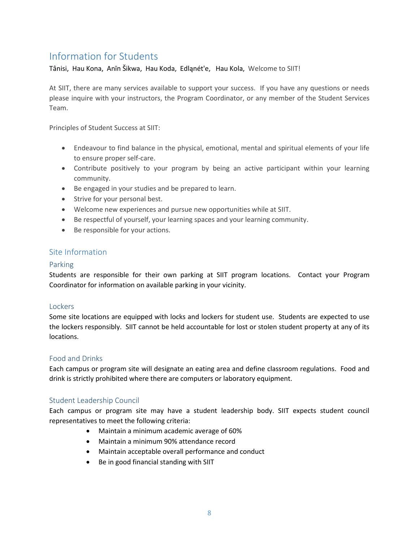## <span id="page-7-0"></span>Information for Students

Tânisi, Hau Kona, Anīn Šikwa, Hau Koda, Edląnét'e, Hau Kola, Welcome to SIIT!

At SIIT, there are many services available to support your success. If you have any questions or needs please inquire with your instructors, the Program Coordinator, or any member of the Student Services Team.

Principles of Student Success at SIIT:

- Endeavour to find balance in the physical, emotional, mental and spiritual elements of your life to ensure proper self-care.
- Contribute positively to your program by being an active participant within your learning community.
- Be engaged in your studies and be prepared to learn.
- Strive for your personal best.
- Welcome new experiences and pursue new opportunities while at SIIT.
- Be respectful of yourself, your learning spaces and your learning community.
- Be responsible for your actions.

#### <span id="page-7-1"></span>Site Information

#### <span id="page-7-2"></span>Parking

Students are responsible for their own parking at SIIT program locations. Contact your Program Coordinator for information on available parking in your vicinity.

#### <span id="page-7-3"></span>Lockers

Some site locations are equipped with locks and lockers for student use. Students are expected to use the lockers responsibly. SIIT cannot be held accountable for lost or stolen student property at any of its locations.

#### <span id="page-7-4"></span>Food and Drinks

Each campus or program site will designate an eating area and define classroom regulations. Food and drink is strictly prohibited where there are computers or laboratory equipment.

#### <span id="page-7-5"></span>Student Leadership Council

Each campus or program site may have a student leadership body. SIIT expects student council representatives to meet the following criteria:

- Maintain a minimum academic average of 60%
- Maintain a minimum 90% attendance record
- Maintain acceptable overall performance and conduct
- Be in good financial standing with SIIT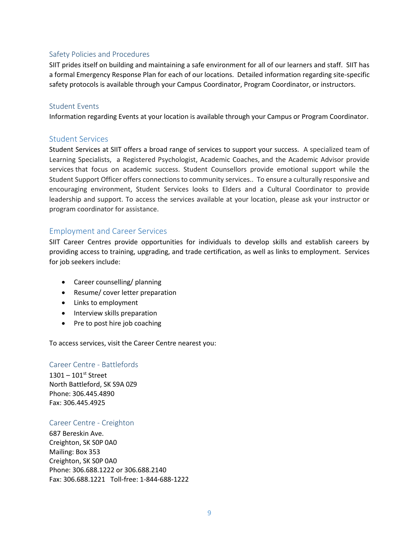#### <span id="page-8-0"></span>Safety Policies and Procedures

SIIT prides itself on building and maintaining a safe environment for all of our learners and staff. SIIT has a formal Emergency Response Plan for each of our locations. Detailed information regarding site-specific safety protocols is available through your Campus Coordinator, Program Coordinator, or instructors.

#### <span id="page-8-1"></span>Student Events

Information regarding Events at your location is available through your Campus or Program Coordinator.

#### <span id="page-8-2"></span>Student Services

Student Services at SIIT offers a broad range of services to support your success. A specialized team of Learning Specialists, a Registered Psychologist, Academic Coaches, and the Academic Advisor provide services that focus on academic success. Student Counsellors provide emotional support while the Student Support Officer offers connections to community services.. To ensure a culturally responsive and encouraging environment, Student Services looks to Elders and a Cultural Coordinator to provide leadership and support. To access the services available at your location, please ask your instructor or program coordinator for assistance.

#### <span id="page-8-3"></span>Employment and Career Services

SIIT Career Centres provide opportunities for individuals to develop skills and establish careers by providing access to training, upgrading, and trade certification, as well as links to employment. Services for job seekers include:

- Career counselling/ planning
- Resume/ cover letter preparation
- Links to employment
- Interview skills preparation
- Pre to post hire job coaching

To access services, visit the Career Centre nearest you:

#### <span id="page-8-4"></span>Career Centre - Battlefords

 $1301 - 101$ <sup>st</sup> Street North Battleford, SK S9A 0Z9 Phone: 306.445.4890 Fax: 306.445.4925

#### <span id="page-8-5"></span>Career Centre - Creighton

687 Bereskin Ave. Creighton, SK S0P 0A0 Mailing: Box 353 Creighton, SK S0P 0A0 Phone: 306.688.1222 or 306.688.2140 Fax: 306.688.1221 Toll-free: 1-844-688-1222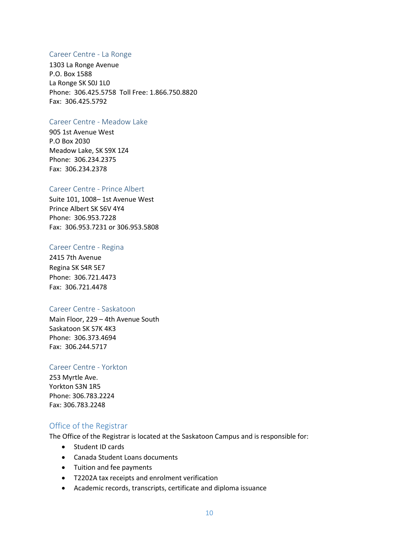#### <span id="page-9-0"></span>Career Centre - La Ronge

1303 La Ronge Avenue P.O. Box 1588 La Ronge SK S0J 1L0 Phone: 306.425.5758 Toll Free: 1.866.750.8820 Fax: 306.425.5792

#### <span id="page-9-1"></span>Career Centre - Meadow Lake

905 1st Avenue West P.O Box 2030 Meadow Lake, SK S9X 1Z4 Phone: 306.234.2375 Fax: 306.234.2378

#### <span id="page-9-2"></span>Career Centre - Prince Albert

Suite 101, 1008– 1st Avenue West Prince Albert SK S6V 4Y4 Phone: 306.953.7228 Fax: 306.953.7231 or 306.953.5808

#### <span id="page-9-3"></span>Career Centre - Regina

2415 7th Avenue Regina SK S4R 5E7 Phone: 306.721.4473 Fax: 306.721.4478

#### <span id="page-9-4"></span>Career Centre - Saskatoon

Main Floor, 229 – 4th Avenue South Saskatoon SK S7K 4K3 Phone: 306.373.4694 Fax: 306.244.5717

#### <span id="page-9-5"></span>Career Centre - Yorkton

253 Myrtle Ave. Yorkton S3N 1R5 Phone: 306.783.2224 Fax: 306.783.2248

#### <span id="page-9-6"></span>Office of the Registrar

The Office of the Registrar is located at the Saskatoon Campus and is responsible for:

- Student ID cards
- Canada Student Loans documents
- Tuition and fee payments
- T2202A tax receipts and enrolment verification
- Academic records, transcripts, certificate and diploma issuance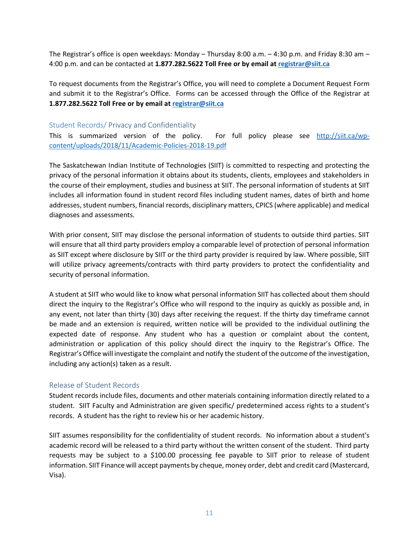The Registrar's office is open weekdays: Monday – Thursday 8:00 a.m. – 4:30 p.m. and Friday 8:30 am – 4:00 p.m. and can be contacted at **1.877.282.5622 Toll Free or by email a[t registrar@siit.ca](mailto:registrar@siit.ca)**

To request documents from the Registrar's Office, you will need to complete a Document Request Form and submit it to the Registrar's Office. Forms can be accessed through the Office of the Registrar at **1.877.282.5622 Toll Free or by email at [registrar@siit.ca](mailto:registrar@siit.ca)**

#### <span id="page-10-0"></span>Student Records/ Privacy and Confidentiality

This is summarized version of the policy. For full policy please see [http://siit.ca/wp](http://siit.ca/wp-content/uploads/2018/11/Academic-Policies-2018-19.pdf)[content/uploads/2018/11/Academic-Policies-2018-19.pdf](http://siit.ca/wp-content/uploads/2018/11/Academic-Policies-2018-19.pdf)

The Saskatchewan Indian Institute of Technologies (SIIT) is committed to respecting and protecting the privacy of the personal information it obtains about its students, clients, employees and stakeholders in the course of their employment, studies and business at SIIT. The personal information of students at SIIT includes all information found in student record files including student names, dates of birth and home addresses, student numbers, financial records, disciplinary matters, CPICS (where applicable) and medical diagnoses and assessments.

With prior consent, SIIT may disclose the personal information of students to outside third parties. SIIT will ensure that all third party providers employ a comparable level of protection of personal information as SIIT except where disclosure by SIIT or the third party provider is required by law. Where possible, SIIT will utilize privacy agreements/contracts with third party providers to protect the confidentiality and security of personal information.

A student at SIIT who would like to know what personal information SIIT has collected about them should direct the inquiry to the Registrar's Office who will respond to the inquiry as quickly as possible and, in any event, not later than thirty (30) days after receiving the request. If the thirty day timeframe cannot be made and an extension is required, written notice will be provided to the individual outlining the expected date of response. Any student who has a question or complaint about the content, administration or application of this policy should direct the inquiry to the Registrar's Office. The Registrar's Office will investigate the complaint and notify the student of the outcome of the investigation, including any action(s) taken as a result.

#### <span id="page-10-1"></span>Release of Student Records

Student records include files, documents and other materials containing information directly related to a student. SIIT Faculty and Administration are given specific/ predetermined access rights to a student's records. A student has the right to review his or her academic history.

SIIT assumes responsibility for the confidentiality of student records. No information about a student's academic record will be released to a third party without the written consent of the student. Third party requests may be subject to a \$100.00 processing fee payable to SIIT prior to release of student information. SIIT Finance will accept payments by cheque, money order, debt and credit card (Mastercard, Visa).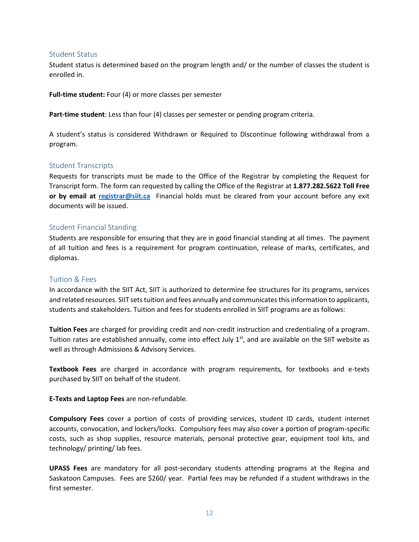#### <span id="page-11-0"></span>Student Status

Student status is determined based on the program length and/ or the number of classes the student is enrolled in.

**Full-time student:** Four (4) or more classes per semester

**Part-time student**: Less than four (4) classes per semester or pending program criteria.

A student's status is considered Withdrawn or Required to Discontinue following withdrawal from a program.

#### <span id="page-11-1"></span>Student Transcripts

Requests for transcripts must be made to the Office of the Registrar by completing the Request for Transcript form. The form can requested by calling the Office of the Registrar at **1.877.282.5622 Toll Free or by email at [registrar@siit.ca](mailto:registrar@siit.ca)** Financial holds must be cleared from your account before any exit documents will be issued.

#### <span id="page-11-2"></span>Student Financial Standing

Students are responsible for ensuring that they are in good financial standing at all times. The payment of all tuition and fees is a requirement for program continuation, release of marks, certificates, and diplomas.

#### <span id="page-11-3"></span>Tuition & Fees

In accordance with the SIIT Act, SIIT is authorized to determine fee structures for its programs, services and related resources. SIIT sets tuition and fees annually and communicates this information to applicants, students and stakeholders. Tuition and fees for students enrolled in SIIT programs are as follows:

**Tuition Fees** are charged for providing credit and non-credit instruction and credentialing of a program. Tuition rates are established annually, come into effect July  $1<sup>st</sup>$ , and are available on the SIIT website as well as through Admissions & Advisory Services.

**Textbook Fees** are charged in accordance with program requirements, for textbooks and e-texts purchased by SIIT on behalf of the student.

**E-Texts and Laptop Fees** are non-refundable.

**Compulsory Fees** cover a portion of costs of providing services, student ID cards, student internet accounts, convocation, and lockers/locks. Compulsory fees may also cover a portion of program-specific costs, such as shop supplies, resource materials, personal protective gear, equipment tool kits, and technology/ printing/ lab fees.

**UPASS Fees** are mandatory for all post-secondary students attending programs at the Regina and Saskatoon Campuses. Fees are \$260/ year. Partial fees may be refunded if a student withdraws in the first semester.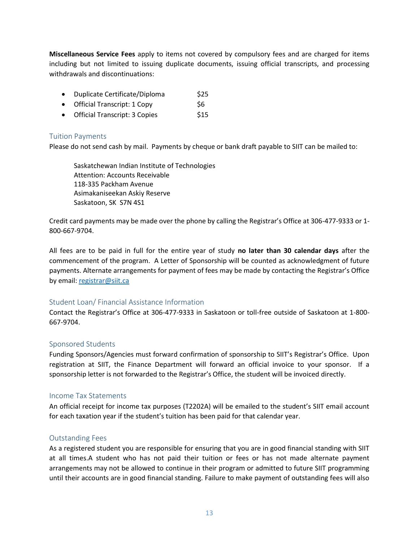**Miscellaneous Service Fees** apply to items not covered by compulsory fees and are charged for items including but not limited to issuing duplicate documents, issuing official transcripts, and processing withdrawals and discontinuations:

- Duplicate Certificate/Diploma \$25
- Official Transcript:  $1$  Copy  $$6$
- Official Transcript: 3 Copies \$15

#### <span id="page-12-0"></span>Tuition Payments

Please do not send cash by mail. Payments by cheque or bank draft payable to SIIT can be mailed to:

Saskatchewan Indian Institute of Technologies Attention: Accounts Receivable 118-335 Packham Avenue Asimakaniseekan Askiy Reserve Saskatoon, SK S7N 4S1

Credit card payments may be made over the phone by calling the Registrar's Office at 306-477-9333 or 1- 800-667-9704.

All fees are to be paid in full for the entire year of study **no later than 30 calendar days** after the commencement of the program. A Letter of Sponsorship will be counted as acknowledgment of future payments. Alternate arrangements for payment of fees may be made by contacting the Registrar's Office by email: [registrar@siit.ca](mailto:registrar@siit.ca)

#### <span id="page-12-1"></span>Student Loan/ Financial Assistance Information

Contact the Registrar's Office at 306-477-9333 in Saskatoon or toll-free outside of Saskatoon at 1-800- 667-9704.

#### <span id="page-12-2"></span>Sponsored Students

Funding Sponsors/Agencies must forward confirmation of sponsorship to SIIT's Registrar's Office. Upon registration at SIIT, the Finance Department will forward an official invoice to your sponsor. If a sponsorship letter is not forwarded to the Registrar's Office, the student will be invoiced directly.

#### <span id="page-12-3"></span>Income Tax Statements

An official receipt for income tax purposes (T2202A) will be emailed to the student's SIIT email account for each taxation year if the student's tuition has been paid for that calendar year.

#### <span id="page-12-4"></span>Outstanding Fees

As a registered student you are responsible for ensuring that you are in good financial standing with SIIT at all times.A student who has not paid their tuition or fees or has not made alternate payment arrangements may not be allowed to continue in their program or admitted to future SIIT programming until their accounts are in good financial standing. Failure to make payment of outstanding fees will also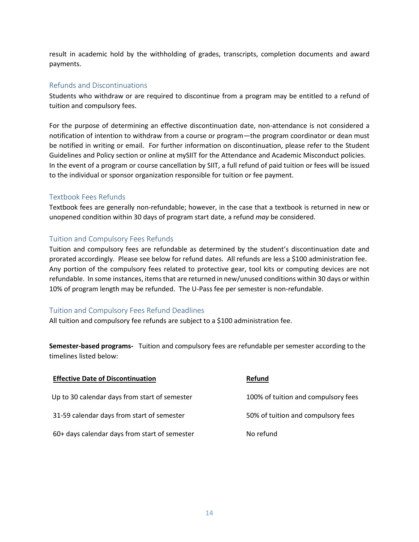result in academic hold by the withholding of grades, transcripts, completion documents and award payments.

#### <span id="page-13-0"></span>Refunds and Discontinuations

Students who withdraw or are required to discontinue from a program may be entitled to a refund of tuition and compulsory fees.

For the purpose of determining an effective discontinuation date, non-attendance is not considered a notification of intention to withdraw from a course or program—the program coordinator or dean must be notified in writing or email. For further information on discontinuation, please refer to the Student Guidelines and Policy section or online at mySIIT for the Attendance and Academic Misconduct policies. In the event of a program or course cancellation by SIIT, a full refund of paid tuition or fees will be issued to the individual or sponsor organization responsible for tuition or fee payment.

#### <span id="page-13-1"></span>Textbook Fees Refunds

Textbook fees are generally non-refundable; however, in the case that a textbook is returned in new or unopened condition within 30 days of program start date, a refund *may* be considered.

#### <span id="page-13-2"></span>Tuition and Compulsory Fees Refunds

Tuition and compulsory fees are refundable as determined by the student's discontinuation date and prorated accordingly. Please see below for refund dates. All refunds are less a \$100 administration fee. Any portion of the compulsory fees related to protective gear, tool kits or computing devices are not refundable. In some instances, items that are returned in new/unused conditions within 30 days or within 10% of program length may be refunded. The U-Pass fee per semester is non-refundable.

#### <span id="page-13-3"></span>Tuition and Compulsory Fees Refund Deadlines

All tuition and compulsory fee refunds are subject to a \$100 administration fee.

**Semester-based programs-** Tuition and compulsory fees are refundable per semester according to the timelines listed below:

| <b>Effective Date of Discontinuation</b>      | <b>Refund</b>                       |
|-----------------------------------------------|-------------------------------------|
| Up to 30 calendar days from start of semester | 100% of tuition and compulsory fees |
| 31-59 calendar days from start of semester    | 50% of tuition and compulsory fees  |
| 60+ days calendar days from start of semester | No refund                           |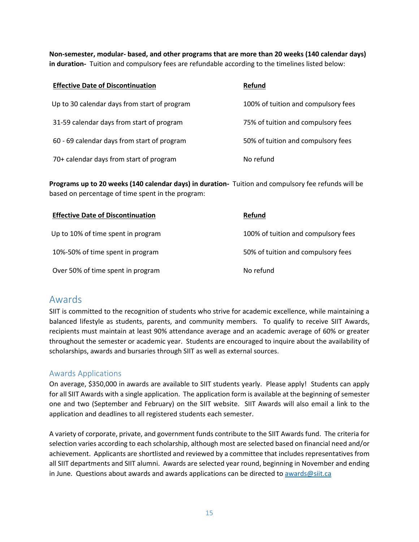**Non-semester, modular- based, and other programs that are more than 20 weeks (140 calendar days) in duration-** Tuition and compulsory fees are refundable according to the timelines listed below:

| <b>Effective Date of Discontinuation</b>     | <b>Refund</b>                       |
|----------------------------------------------|-------------------------------------|
| Up to 30 calendar days from start of program | 100% of tuition and compulsory fees |
| 31-59 calendar days from start of program    | 75% of tuition and compulsory fees  |
| 60 - 69 calendar days from start of program  | 50% of tuition and compulsory fees  |
| 70+ calendar days from start of program      | No refund                           |

**Programs up to 20 weeks (140 calendar days) in duration-** Tuition and compulsory fee refunds will be based on percentage of time spent in the program:

| <b>Effective Date of Discontinuation</b> | <b>Refund</b>                       |
|------------------------------------------|-------------------------------------|
| Up to 10% of time spent in program       | 100% of tuition and compulsory fees |
| 10%-50% of time spent in program         | 50% of tuition and compulsory fees  |
| Over 50% of time spent in program        | No refund                           |

### <span id="page-14-0"></span>Awards

SIIT is committed to the recognition of students who strive for academic excellence, while maintaining a balanced lifestyle as students, parents, and community members. To qualify to receive SIIT Awards, recipients must maintain at least 90% attendance average and an academic average of 60% or greater throughout the semester or academic year. Students are encouraged to inquire about the availability of scholarships, awards and bursaries through SIIT as well as external sources.

#### <span id="page-14-1"></span>Awards Applications

On average, \$350,000 in awards are available to SIIT students yearly. Please apply! Students can apply for all SIIT Awards with a single application. The application form is available at the beginning of semester one and two (September and February) on the SIIT website. SIIT Awards will also email a link to the application and deadlines to all registered students each semester.

A variety of corporate, private, and government funds contribute to the SIIT Awards fund. The criteria for selection varies according to each scholarship, although most are selected based on financial need and/or achievement. Applicants are shortlisted and reviewed by a committee that includes representatives from all SIIT departments and SIIT alumni. Awards are selected year round, beginning in November and ending in June. Questions about awards and awards applications can be directed to [awards@siit.ca](mailto:awards@siit.ca)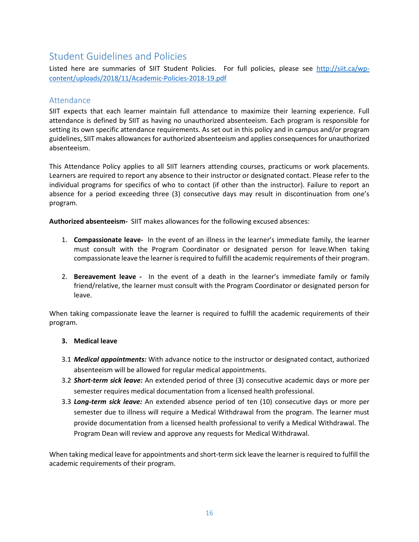## <span id="page-15-0"></span>Student Guidelines and Policies

Listed here are summaries of SIIT Student Policies. For full policies, please see [http://siit.ca/wp](http://siit.ca/wp-content/uploads/2018/11/Academic-Policies-2018-19.pdf)[content/uploads/2018/11/Academic-Policies-2018-19.pdf](http://siit.ca/wp-content/uploads/2018/11/Academic-Policies-2018-19.pdf)

#### <span id="page-15-1"></span>Attendance

SIIT expects that each learner maintain full attendance to maximize their learning experience. Full attendance is defined by SIIT as having no unauthorized absenteeism. Each program is responsible for setting its own specific attendance requirements. As set out in this policy and in campus and/or program guidelines, SIIT makes allowances for authorized absenteeism and applies consequences for unauthorized absenteeism.

This Attendance Policy applies to all SIIT learners attending courses, practicums or work placements. Learners are required to report any absence to their instructor or designated contact. Please refer to the individual programs for specifics of who to contact (if other than the instructor). Failure to report an absence for a period exceeding three (3) consecutive days may result in discontinuation from one's program.

**Authorized absenteeism-** SIIT makes allowances for the following excused absences:

- 1. **Compassionate leave-** In the event of an illness in the learner's immediate family, the learner must consult with the Program Coordinator or designated person for leave.When taking compassionate leave the learner is required to fulfill the academic requirements of their program.
- 2. **Bereavement leave** In the event of a death in the learner's immediate family or family friend/relative, the learner must consult with the Program Coordinator or designated person for leave.

When taking compassionate leave the learner is required to fulfill the academic requirements of their program.

#### **3. Medical leave**

- 3.1 *Medical appointments:* With advance notice to the instructor or designated contact, authorized absenteeism will be allowed for regular medical appointments.
- 3.2 *Short-term sick leave:* An extended period of three (3) consecutive academic days or more per semester requires medical documentation from a licensed health professional.
- 3.3 *Long-term sick leave:* An extended absence period of ten (10) consecutive days or more per semester due to illness will require a Medical Withdrawal from the program. The learner must provide documentation from a licensed health professional to verify a Medical Withdrawal. The Program Dean will review and approve any requests for Medical Withdrawal.

When taking medical leave for appointments and short-term sick leave the learner is required to fulfill the academic requirements of their program.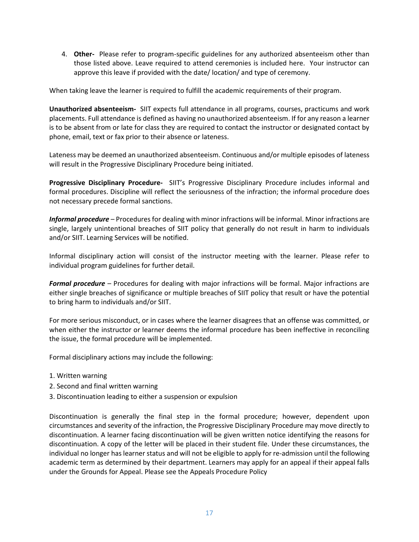4. **Other-** Please refer to program-specific guidelines for any authorized absenteeism other than those listed above. Leave required to attend ceremonies is included here. Your instructor can approve this leave if provided with the date/ location/ and type of ceremony.

When taking leave the learner is required to fulfill the academic requirements of their program.

**Unauthorized absenteeism-** SIIT expects full attendance in all programs, courses, practicums and work placements. Full attendance is defined as having no unauthorized absenteeism. If for any reason a learner is to be absent from or late for class they are required to contact the instructor or designated contact by phone, email, text or fax prior to their absence or lateness.

Lateness may be deemed an unauthorized absenteeism. Continuous and/or multiple episodes of lateness will result in the Progressive Disciplinary Procedure being initiated.

**Progressive Disciplinary Procedure-** SIIT's Progressive Disciplinary Procedure includes informal and formal procedures. Discipline will reflect the seriousness of the infraction; the informal procedure does not necessary precede formal sanctions.

*Informal procedure* – Procedures for dealing with minor infractions will be informal. Minor infractions are single, largely unintentional breaches of SIIT policy that generally do not result in harm to individuals and/or SIIT. Learning Services will be notified.

Informal disciplinary action will consist of the instructor meeting with the learner. Please refer to individual program guidelines for further detail.

*Formal procedure* – Procedures for dealing with major infractions will be formal. Major infractions are either single breaches of significance or multiple breaches of SIIT policy that result or have the potential to bring harm to individuals and/or SIIT.

For more serious misconduct, or in cases where the learner disagrees that an offense was committed, or when either the instructor or learner deems the informal procedure has been ineffective in reconciling the issue, the formal procedure will be implemented.

Formal disciplinary actions may include the following:

- 1. Written warning
- 2. Second and final written warning
- 3. Discontinuation leading to either a suspension or expulsion

Discontinuation is generally the final step in the formal procedure; however, dependent upon circumstances and severity of the infraction, the Progressive Disciplinary Procedure may move directly to discontinuation. A learner facing discontinuation will be given written notice identifying the reasons for discontinuation. A copy of the letter will be placed in their student file. Under these circumstances, the individual no longer has learner status and will not be eligible to apply for re-admission until the following academic term as determined by their department. Learners may apply for an appeal if their appeal falls under the Grounds for Appeal. Please see the Appeals Procedure Policy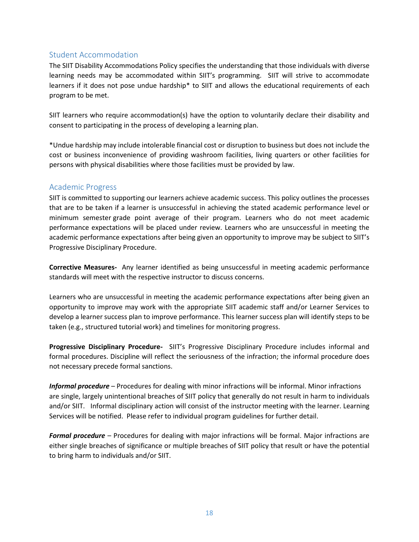#### <span id="page-17-0"></span>Student Accommodation

The SIIT Disability Accommodations Policy specifies the understanding that those individuals with diverse learning needs may be accommodated within SIIT's programming. SIIT will strive to accommodate learners if it does not pose undue hardship\* to SIIT and allows the educational requirements of each program to be met.

SIIT learners who require accommodation(s) have the option to voluntarily declare their disability and consent to participating in the process of developing a learning plan.

\*Undue hardship may include intolerable financial cost or disruption to business but does not include the cost or business inconvenience of providing washroom facilities, living quarters or other facilities for persons with physical disabilities where those facilities must be provided by law.

#### <span id="page-17-1"></span>Academic Progress

SIIT is committed to supporting our learners achieve academic success. This policy outlines the processes that are to be taken if a learner is unsuccessful in achieving the stated academic performance level or minimum semester grade point average of their program. Learners who do not meet academic performance expectations will be placed under review. Learners who are unsuccessful in meeting the academic performance expectations after being given an opportunity to improve may be subject to SIIT's Progressive Disciplinary Procedure.

**Corrective Measures-** Any learner identified as being unsuccessful in meeting academic performance standards will meet with the respective instructor to discuss concerns.

Learners who are unsuccessful in meeting the academic performance expectations after being given an opportunity to improve may work with the appropriate SIIT academic staff and/or Learner Services to develop a learner success plan to improve performance. This learner success plan will identify steps to be taken (e.g., structured tutorial work) and timelines for monitoring progress.

**Progressive Disciplinary Procedure-** SIIT's Progressive Disciplinary Procedure includes informal and formal procedures. Discipline will reflect the seriousness of the infraction; the informal procedure does not necessary precede formal sanctions.

*Informal procedure* – Procedures for dealing with minor infractions will be informal. Minor infractions are single, largely unintentional breaches of SIIT policy that generally do not result in harm to individuals and/or SIIT. Informal disciplinary action will consist of the instructor meeting with the learner. Learning Services will be notified. Please refer to individual program guidelines for further detail.

*Formal procedure* – Procedures for dealing with major infractions will be formal. Major infractions are either single breaches of significance or multiple breaches of SIIT policy that result or have the potential to bring harm to individuals and/or SIIT.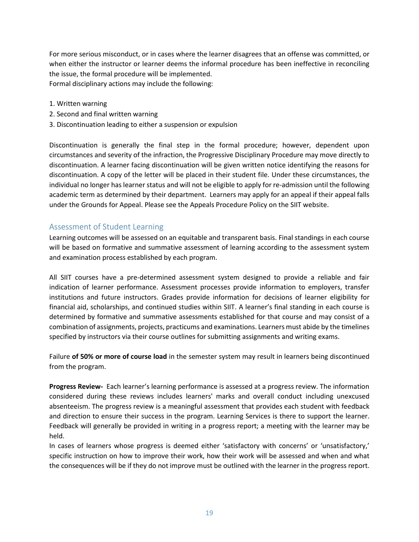For more serious misconduct, or in cases where the learner disagrees that an offense was committed, or when either the instructor or learner deems the informal procedure has been ineffective in reconciling the issue, the formal procedure will be implemented. Formal disciplinary actions may include the following:

- 1. Written warning
- 2. Second and final written warning
- 3. Discontinuation leading to either a suspension or expulsion

Discontinuation is generally the final step in the formal procedure; however, dependent upon circumstances and severity of the infraction, the Progressive Disciplinary Procedure may move directly to discontinuation. A learner facing discontinuation will be given written notice identifying the reasons for discontinuation. A copy of the letter will be placed in their student file. Under these circumstances, the individual no longer has learner status and will not be eligible to apply for re-admission until the following academic term as determined by their department. Learners may apply for an appeal if their appeal falls under the Grounds for Appeal. Please see the Appeals Procedure Policy on the SIIT website.

#### <span id="page-18-0"></span>Assessment of Student Learning

Learning outcomes will be assessed on an equitable and transparent basis. Final standings in each course will be based on formative and summative assessment of learning according to the assessment system and examination process established by each program.

All SIIT courses have a pre-determined assessment system designed to provide a reliable and fair indication of learner performance. Assessment processes provide information to employers, transfer institutions and future instructors. Grades provide information for decisions of learner eligibility for financial aid, scholarships, and continued studies within SIIT. A learner's final standing in each course is determined by formative and summative assessments established for that course and may consist of a combination of assignments, projects, practicums and examinations. Learners must abide by the timelines specified by instructors via their course outlines for submitting assignments and writing exams.

Failure **of 50% or more of course load** in the semester system may result in learners being discontinued from the program.

**Progress Review-** Each learner's learning performance is assessed at a progress review. The information considered during these reviews includes learners' marks and overall conduct including unexcused absenteeism. The progress review is a meaningful assessment that provides each student with feedback and direction to ensure their success in the program. Learning Services is there to support the learner. Feedback will generally be provided in writing in a progress report; a meeting with the learner may be held.

In cases of learners whose progress is deemed either 'satisfactory with concerns' or 'unsatisfactory,' specific instruction on how to improve their work, how their work will be assessed and when and what the consequences will be if they do not improve must be outlined with the learner in the progress report.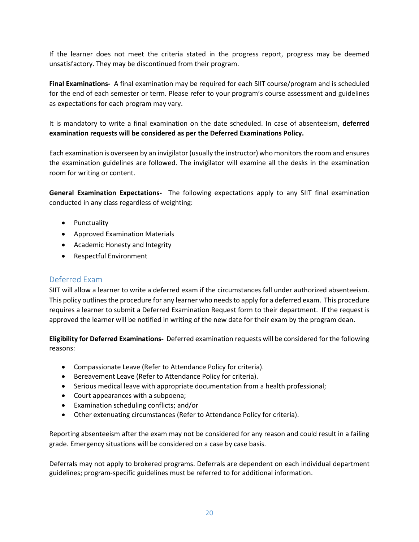If the learner does not meet the criteria stated in the progress report, progress may be deemed unsatisfactory. They may be discontinued from their program.

**Final Examinations-** A final examination may be required for each SIIT course/program and is scheduled for the end of each semester or term. Please refer to your program's course assessment and guidelines as expectations for each program may vary.

It is mandatory to write a final examination on the date scheduled. In case of absenteeism, **deferred examination requests will be considered as per the Deferred Examinations Policy.**

Each examination is overseen by an invigilator (usually the instructor) who monitors the room and ensures the examination guidelines are followed. The invigilator will examine all the desks in the examination room for writing or content.

**General Examination Expectations-** The following expectations apply to any SIIT final examination conducted in any class regardless of weighting:

- Punctuality
- Approved Examination Materials
- Academic Honesty and Integrity
- Respectful Environment

#### <span id="page-19-0"></span>Deferred Exam

SIIT will allow a learner to write a deferred exam if the circumstances fall under authorized absenteeism. This policy outlines the procedure for any learner who needs to apply for a deferred exam. This procedure requires a learner to submit a Deferred Examination Request form to their department. If the request is approved the learner will be notified in writing of the new date for their exam by the program dean.

**Eligibility for Deferred Examinations-** Deferred examination requests will be considered for the following reasons:

- Compassionate Leave (Refer to Attendance Policy for criteria).
- Bereavement Leave (Refer to Attendance Policy for criteria).
- Serious medical leave with appropriate documentation from a health professional;
- Court appearances with a subpoena;
- Examination scheduling conflicts; and/or
- Other extenuating circumstances (Refer to Attendance Policy for criteria).

Reporting absenteeism after the exam may not be considered for any reason and could result in a failing grade. Emergency situations will be considered on a case by case basis.

Deferrals may not apply to brokered programs. Deferrals are dependent on each individual department guidelines; program-specific guidelines must be referred to for additional information.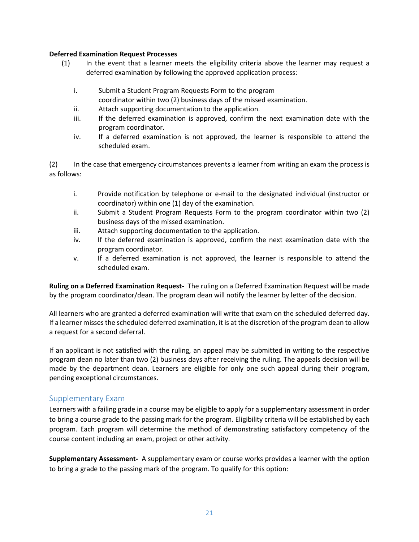#### **Deferred Examination Request Processes**

- (1) In the event that a learner meets the eligibility criteria above the learner may request a deferred examination by following the approved application process:
	- i. Submit a Student Program Requests Form to the program
	- coordinator within two (2) business days of the missed examination.
	- ii. Attach supporting documentation to the application.
	- iii. If the deferred examination is approved, confirm the next examination date with the program coordinator.
	- iv. If a deferred examination is not approved, the learner is responsible to attend the scheduled exam.

(2) In the case that emergency circumstances prevents a learner from writing an exam the process is as follows:

- i. Provide notification by telephone or e-mail to the designated individual (instructor or coordinator) within one (1) day of the examination.
- ii. Submit a Student Program Requests Form to the program coordinator within two (2) business days of the missed examination.
- iii. Attach supporting documentation to the application.
- iv. If the deferred examination is approved, confirm the next examination date with the program coordinator.
- v. If a deferred examination is not approved, the learner is responsible to attend the scheduled exam.

**Ruling on a Deferred Examination Request-** The ruling on a Deferred Examination Request will be made by the program coordinator/dean. The program dean will notify the learner by letter of the decision.

All learners who are granted a deferred examination will write that exam on the scheduled deferred day. If a learner misses the scheduled deferred examination, it is at the discretion of the program dean to allow a request for a second deferral.

If an applicant is not satisfied with the ruling, an appeal may be submitted in writing to the respective program dean no later than two (2) business days after receiving the ruling. The appeals decision will be made by the department dean. Learners are eligible for only one such appeal during their program, pending exceptional circumstances.

#### <span id="page-20-0"></span>Supplementary Exam

Learners with a failing grade in a course may be eligible to apply for a supplementary assessment in order to bring a course grade to the passing mark for the program. Eligibility criteria will be established by each program. Each program will determine the method of demonstrating satisfactory competency of the course content including an exam, project or other activity.

**Supplemen***t***ary Assessment-** A supplementary exam or course works provides a learner with the option to bring a grade to the passing mark of the program. To qualify for this option: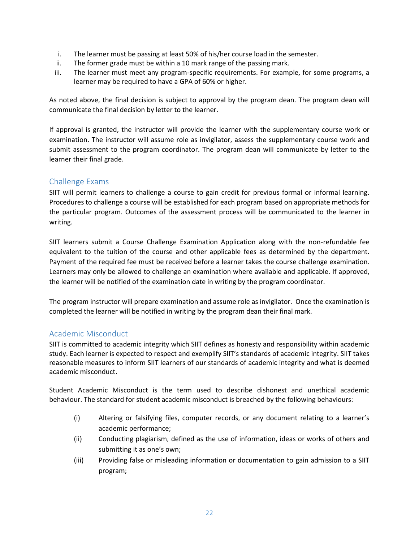- i. The learner must be passing at least 50% of his/her course load in the semester.
- ii. The former grade must be within a 10 mark range of the passing mark.
- iii. The learner must meet any program-specific requirements. For example, for some programs, a learner may be required to have a GPA of 60% or higher.

As noted above, the final decision is subject to approval by the program dean. The program dean will communicate the final decision by letter to the learner.

If approval is granted, the instructor will provide the learner with the supplementary course work or examination. The instructor will assume role as invigilator, assess the supplementary course work and submit assessment to the program coordinator. The program dean will communicate by letter to the learner their final grade.

#### <span id="page-21-0"></span>Challenge Exams

SIIT will permit learners to challenge a course to gain credit for previous formal or informal learning. Procedures to challenge a course will be established for each program based on appropriate methods for the particular program. Outcomes of the assessment process will be communicated to the learner in writing.

SIIT learners submit a Course Challenge Examination Application along with the non-refundable fee equivalent to the tuition of the course and other applicable fees as determined by the department. Payment of the required fee must be received before a learner takes the course challenge examination. Learners may only be allowed to challenge an examination where available and applicable. If approved, the learner will be notified of the examination date in writing by the program coordinator.

The program instructor will prepare examination and assume role as invigilator. Once the examination is completed the learner will be notified in writing by the program dean their final mark.

#### <span id="page-21-1"></span>Academic Misconduct

SIIT is committed to academic integrity which SIIT defines as honesty and responsibility within academic study. Each learner is expected to respect and exemplify SIIT's standards of academic integrity. SIIT takes reasonable measures to inform SIIT learners of our standards of academic integrity and what is deemed academic misconduct.

Student Academic Misconduct is the term used to describe dishonest and unethical academic behaviour. The standard for student academic misconduct is breached by the following behaviours:

- (i) Altering or falsifying files, computer records, or any document relating to a learner's academic performance;
- (ii) Conducting plagiarism, defined as the use of information, ideas or works of others and submitting it as one's own;
- (iii) Providing false or misleading information or documentation to gain admission to a SIIT program;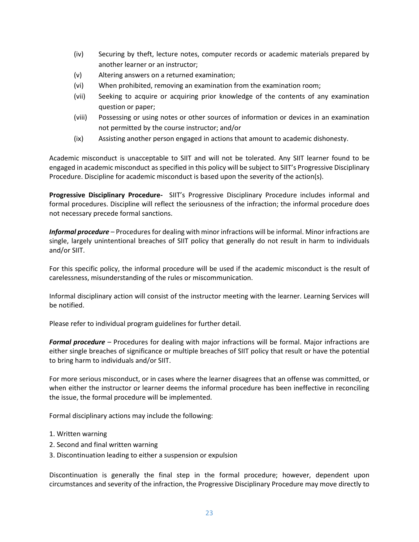- (iv) Securing by theft, lecture notes, computer records or academic materials prepared by another learner or an instructor;
- (v) Altering answers on a returned examination;
- (vi) When prohibited, removing an examination from the examination room;
- (vii) Seeking to acquire or acquiring prior knowledge of the contents of any examination question or paper;
- (viii) Possessing or using notes or other sources of information or devices in an examination not permitted by the course instructor; and/or
- (ix) Assisting another person engaged in actions that amount to academic dishonesty.

Academic misconduct is unacceptable to SIIT and will not be tolerated. Any SIIT learner found to be engaged in academic misconduct as specified in this policy will be subject to SIIT's Progressive Disciplinary Procedure. Discipline for academic misconduct is based upon the severity of the action(s).

**Progressive Disciplinary Procedure-** SIIT's Progressive Disciplinary Procedure includes informal and formal procedures. Discipline will reflect the seriousness of the infraction; the informal procedure does not necessary precede formal sanctions.

*Informal procedure* – Procedures for dealing with minor infractions will be informal. Minor infractions are single, largely unintentional breaches of SIIT policy that generally do not result in harm to individuals and/or SIIT.

For this specific policy, the informal procedure will be used if the academic misconduct is the result of carelessness, misunderstanding of the rules or miscommunication.

Informal disciplinary action will consist of the instructor meeting with the learner. Learning Services will be notified.

Please refer to individual program guidelines for further detail.

*Formal procedure* – Procedures for dealing with major infractions will be formal. Major infractions are either single breaches of significance or multiple breaches of SIIT policy that result or have the potential to bring harm to individuals and/or SIIT.

For more serious misconduct, or in cases where the learner disagrees that an offense was committed, or when either the instructor or learner deems the informal procedure has been ineffective in reconciling the issue, the formal procedure will be implemented.

Formal disciplinary actions may include the following:

- 1. Written warning
- 2. Second and final written warning
- 3. Discontinuation leading to either a suspension or expulsion

Discontinuation is generally the final step in the formal procedure; however, dependent upon circumstances and severity of the infraction, the Progressive Disciplinary Procedure may move directly to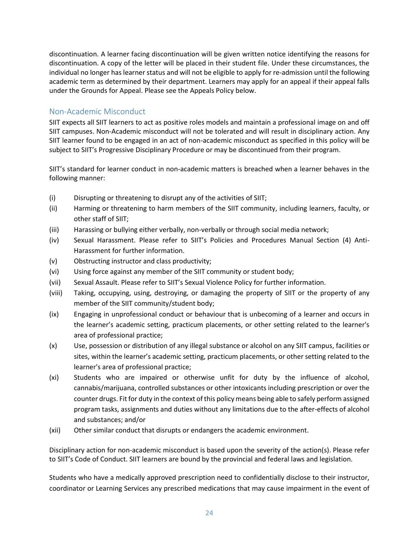discontinuation. A learner facing discontinuation will be given written notice identifying the reasons for discontinuation. A copy of the letter will be placed in their student file. Under these circumstances, the individual no longer has learner status and will not be eligible to apply for re-admission until the following academic term as determined by their department. Learners may apply for an appeal if their appeal falls under the Grounds for Appeal. Please see the Appeals Policy below.

#### <span id="page-23-0"></span>Non-Academic Misconduct

SIIT expects all SIIT learners to act as positive roles models and maintain a professional image on and off SIIT campuses. Non-Academic misconduct will not be tolerated and will result in disciplinary action. Any SIIT learner found to be engaged in an act of non-academic misconduct as specified in this policy will be subject to SIIT's Progressive Disciplinary Procedure or may be discontinued from their program.

SIIT's standard for learner conduct in non-academic matters is breached when a learner behaves in the following manner:

- (i) Disrupting or threatening to disrupt any of the activities of SIIT;
- (ii) Harming or threatening to harm members of the SIIT community, including learners, faculty, or other staff of SIIT;
- (iii) Harassing or bullying either verbally, non-verbally or through social media network;
- (iv) Sexual Harassment. Please refer to SIIT's Policies and Procedures Manual Section (4) Anti-Harassment for further information.
- (v) Obstructing instructor and class productivity;
- (vi) Using force against any member of the SIIT community or student body;
- (vii) Sexual Assault. Please refer to SIIT's Sexual Violence Policy for further information.
- (viii) Taking, occupying, using, destroying, or damaging the property of SIIT or the property of any member of the SIIT community/student body;
- (ix) Engaging in unprofessional conduct or behaviour that is unbecoming of a learner and occurs in the learner's academic setting, practicum placements, or other setting related to the learner's area of professional practice;
- (x) Use, possession or distribution of any illegal substance or alcohol on any SIIT campus, facilities or sites, within the learner's academic setting, practicum placements, or other setting related to the learner's area of professional practice;
- (xi) Students who are impaired or otherwise unfit for duty by the influence of alcohol, cannabis/marijuana, controlled substances or other intoxicants including prescription or over the counter drugs. Fit for duty in the context of this policy means being able to safely perform assigned program tasks, assignments and duties without any limitations due to the after-effects of alcohol and substances; and/or
- (xii) Other similar conduct that disrupts or endangers the academic environment.

Disciplinary action for non-academic misconduct is based upon the severity of the action(s). Please refer to SIIT's Code of Conduct. SIIT learners are bound by the provincial and federal laws and legislation.

Students who have a medically approved prescription need to confidentially disclose to their instructor, coordinator or Learning Services any prescribed medications that may cause impairment in the event of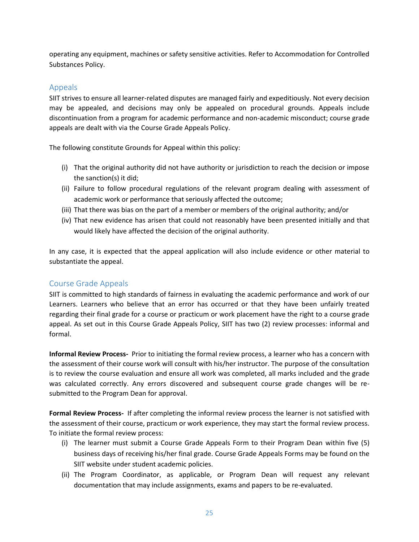operating any equipment, machines or safety sensitive activities. Refer to Accommodation for Controlled Substances Policy.

#### <span id="page-24-0"></span>Appeals

SIIT strives to ensure all learner-related disputes are managed fairly and expeditiously. Not every decision may be appealed, and decisions may only be appealed on procedural grounds. Appeals include discontinuation from a program for academic performance and non-academic misconduct; course grade appeals are dealt with via the Course Grade Appeals Policy.

The following constitute Grounds for Appeal within this policy:

- (i) That the original authority did not have authority or jurisdiction to reach the decision or impose the sanction(s) it did;
- (ii) Failure to follow procedural regulations of the relevant program dealing with assessment of academic work or performance that seriously affected the outcome;
- (iii) That there was bias on the part of a member or members of the original authority; and/or
- (iv) That new evidence has arisen that could not reasonably have been presented initially and that would likely have affected the decision of the original authority.

In any case, it is expected that the appeal application will also include evidence or other material to substantiate the appeal.

#### <span id="page-24-1"></span>Course Grade Appeals

SIIT is committed to high standards of fairness in evaluating the academic performance and work of our Learners. Learners who believe that an error has occurred or that they have been unfairly treated regarding their final grade for a course or practicum or work placement have the right to a course grade appeal. As set out in this Course Grade Appeals Policy, SIIT has two (2) review processes: informal and formal.

**Informal Review Process-** Prior to initiating the formal review process, a learner who has a concern with the assessment of their course work will consult with his/her instructor. The purpose of the consultation is to review the course evaluation and ensure all work was completed, all marks included and the grade was calculated correctly. Any errors discovered and subsequent course grade changes will be resubmitted to the Program Dean for approval.

**Formal Review Process-** If after completing the informal review process the learner is not satisfied with the assessment of their course, practicum or work experience, they may start the formal review process. To initiate the formal review process:

- (i) The learner must submit a Course Grade Appeals Form to their Program Dean within five (5) business days of receiving his/her final grade. Course Grade Appeals Forms may be found on the SIIT website under student academic policies.
- (ii) The Program Coordinator, as applicable, or Program Dean will request any relevant documentation that may include assignments, exams and papers to be re-evaluated.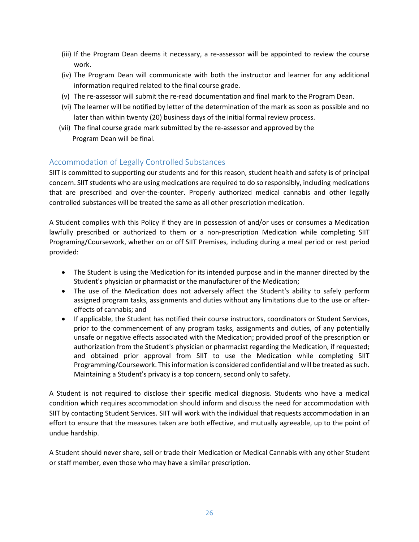- (iii) If the Program Dean deems it necessary, a re-assessor will be appointed to review the course work.
- (iv) The Program Dean will communicate with both the instructor and learner for any additional information required related to the final course grade.
- (v) The re-assessor will submit the re-read documentation and final mark to the Program Dean.
- (vi) The learner will be notified by letter of the determination of the mark as soon as possible and no later than within twenty (20) business days of the initial formal review process.
- (vii) The final course grade mark submitted by the re-assessor and approved by the Program Dean will be final.

#### <span id="page-25-0"></span>Accommodation of Legally Controlled Substances

SIIT is committed to supporting our students and for this reason, student health and safety is of principal concern. SIIT students who are using medications are required to do so responsibly, including medications that are prescribed and over-the-counter. Properly authorized medical cannabis and other legally controlled substances will be treated the same as all other prescription medication.

A Student complies with this Policy if they are in possession of and/or uses or consumes a Medication lawfully prescribed or authorized to them or a non-prescription Medication while completing SIIT Programing/Coursework, whether on or off SIIT Premises, including during a meal period or rest period provided:

- The Student is using the Medication for its intended purpose and in the manner directed by the Student's physician or pharmacist or the manufacturer of the Medication;
- The use of the Medication does not adversely affect the Student's ability to safely perform assigned program tasks, assignments and duties without any limitations due to the use or aftereffects of cannabis; and
- If applicable, the Student has notified their course instructors, coordinators or Student Services, prior to the commencement of any program tasks, assignments and duties, of any potentially unsafe or negative effects associated with the Medication; provided proof of the prescription or authorization from the Student's physician or pharmacist regarding the Medication, if requested; and obtained prior approval from SIIT to use the Medication while completing SIIT Programming/Coursework. This information is considered confidential and will be treated as such. Maintaining a Student's privacy is a top concern, second only to safety.

A Student is not required to disclose their specific medical diagnosis. Students who have a medical condition which requires accommodation should inform and discuss the need for accommodation with SIIT by contacting Student Services. SIIT will work with the individual that requests accommodation in an effort to ensure that the measures taken are both effective, and mutually agreeable, up to the point of undue hardship.

A Student should never share, sell or trade their Medication or Medical Cannabis with any other Student or staff member, even those who may have a similar prescription.